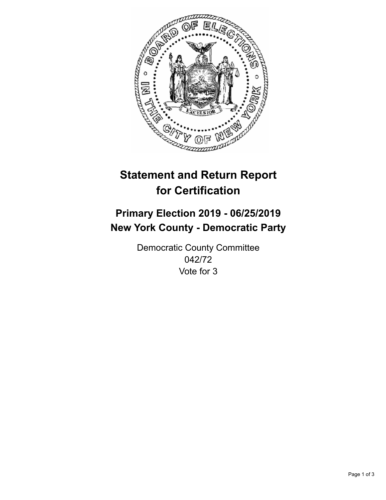

## **Statement and Return Report for Certification**

## **Primary Election 2019 - 06/25/2019 New York County - Democratic Party**

Democratic County Committee 042/72 Vote for 3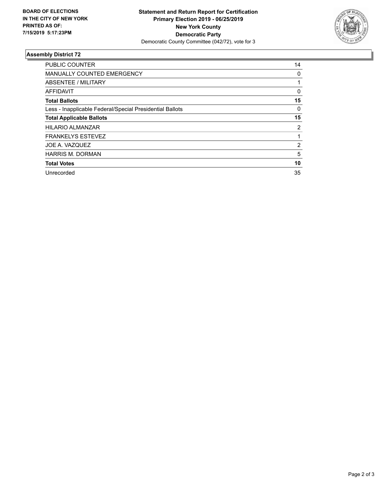

## **Assembly District 72**

| <b>PUBLIC COUNTER</b>                                    | 14             |
|----------------------------------------------------------|----------------|
| <b>MANUALLY COUNTED EMERGENCY</b>                        | 0              |
| ABSENTEE / MILITARY                                      |                |
| AFFIDAVIT                                                | 0              |
| <b>Total Ballots</b>                                     | 15             |
| Less - Inapplicable Federal/Special Presidential Ballots | 0              |
| <b>Total Applicable Ballots</b>                          | 15             |
| <b>HILARIO ALMANZAR</b>                                  | $\overline{2}$ |
| <b>FRANKELYS ESTEVEZ</b>                                 |                |
| JOE A. VAZQUEZ                                           | 2              |
| <b>HARRIS M. DORMAN</b>                                  | 5              |
| <b>Total Votes</b>                                       | 10             |
| Unrecorded                                               | 35             |